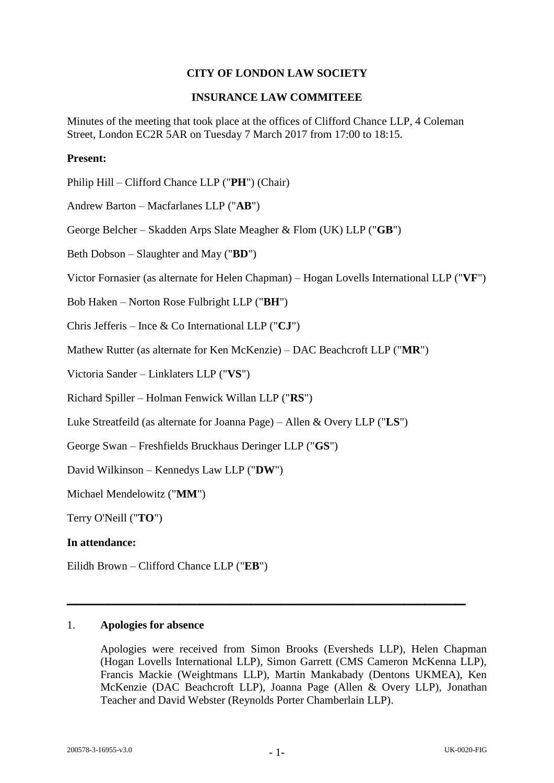# **CITY OF LONDON LAW SOCIETY**

# **INSURANCE LAW COMMITEEE**

Minutes of the meeting that took place at the offices of Clifford Chance LLP, 4 Coleman Street, London EC2R 5AR on Tuesday 7 March 2017 from 17:00 to 18:15.

# **Present:**

Philip Hill – Clifford Chance LLP ("**PH**") (Chair)

Andrew Barton – Macfarlanes LLP ("**AB**")

George Belcher – Skadden Arps Slate Meagher & Flom (UK) LLP ("**GB**")

Beth Dobson – Slaughter and May ("**BD**")

Victor Fornasier (as alternate for Helen Chapman) – Hogan Lovells International LLP ("**VF**")

Bob Haken – Norton Rose Fulbright LLP ("**BH**")

Chris Jefferis – Ince & Co International LLP ("**CJ**")

Mathew Rutter (as alternate for Ken McKenzie) – DAC Beachcroft LLP ("**MR**")

Victoria Sander – Linklaters LLP ("**VS**")

Richard Spiller – Holman Fenwick Willan LLP ("**RS**")

Luke Streatfeild (as alternate for Joanna Page) – Allen & Overy LLP ("**LS**")

George Swan – Freshfields Bruckhaus Deringer LLP ("**GS**")

David Wilkinson – Kennedys Law LLP ("**DW**")

Michael Mendelowitz ("**MM**")

Terry O'Neill ("**TO**")

## **In attendance:**

Eilidh Brown – Clifford Chance LLP ("**EB**")

# 1. **Apologies for absence**

Apologies were received from Simon Brooks (Eversheds LLP), Helen Chapman (Hogan Lovells International LLP), Simon Garrett (CMS Cameron McKenna LLP), Francis Mackie (Weightmans LLP), Martin Mankabady (Dentons UKMEA), Ken McKenzie (DAC Beachcroft LLP), Joanna Page (Allen & Overy LLP), Jonathan Teacher and David Webster (Reynolds Porter Chamberlain LLP).

**\_\_\_\_\_\_\_\_\_\_\_\_\_\_\_\_\_\_\_\_\_\_\_\_\_\_\_\_\_\_\_\_\_\_\_\_\_\_\_**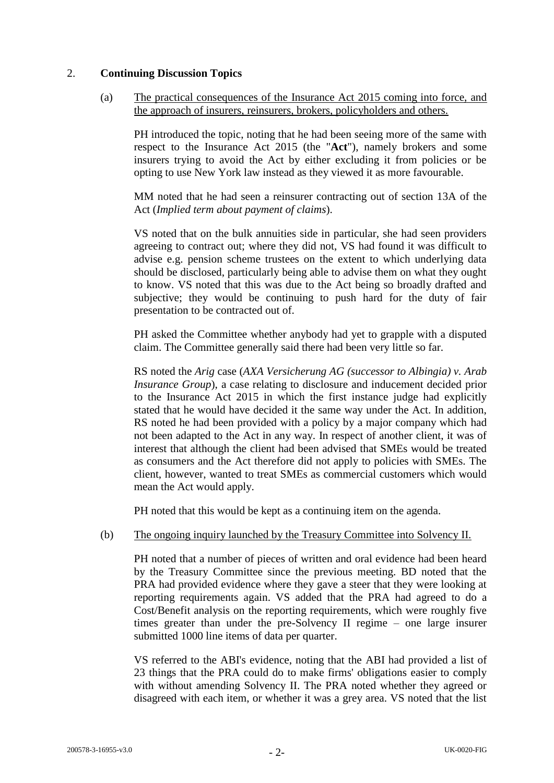# 2. **Continuing Discussion Topics**

(a) The practical consequences of the Insurance Act 2015 coming into force, and the approach of insurers, reinsurers, brokers, policyholders and others.

PH introduced the topic, noting that he had been seeing more of the same with respect to the Insurance Act 2015 (the "**Act**"), namely brokers and some insurers trying to avoid the Act by either excluding it from policies or be opting to use New York law instead as they viewed it as more favourable.

MM noted that he had seen a reinsurer contracting out of section 13A of the Act (*Implied term about payment of claims*).

VS noted that on the bulk annuities side in particular, she had seen providers agreeing to contract out; where they did not, VS had found it was difficult to advise e.g. pension scheme trustees on the extent to which underlying data should be disclosed, particularly being able to advise them on what they ought to know. VS noted that this was due to the Act being so broadly drafted and subjective; they would be continuing to push hard for the duty of fair presentation to be contracted out of.

PH asked the Committee whether anybody had yet to grapple with a disputed claim. The Committee generally said there had been very little so far.

RS noted the *Arig* case (*AXA Versicherung AG (successor to Albingia) v. Arab Insurance Group*), a case relating to disclosure and inducement decided prior to the Insurance Act 2015 in which the first instance judge had explicitly stated that he would have decided it the same way under the Act. In addition, RS noted he had been provided with a policy by a major company which had not been adapted to the Act in any way. In respect of another client, it was of interest that although the client had been advised that SMEs would be treated as consumers and the Act therefore did not apply to policies with SMEs. The client, however, wanted to treat SMEs as commercial customers which would mean the Act would apply.

PH noted that this would be kept as a continuing item on the agenda.

# (b) The ongoing inquiry launched by the Treasury Committee into Solvency II.

PH noted that a number of pieces of written and oral evidence had been heard by the Treasury Committee since the previous meeting. BD noted that the PRA had provided evidence where they gave a steer that they were looking at reporting requirements again. VS added that the PRA had agreed to do a Cost/Benefit analysis on the reporting requirements, which were roughly five times greater than under the pre-Solvency II regime – one large insurer submitted 1000 line items of data per quarter.

VS referred to the ABI's evidence, noting that the ABI had provided a list of 23 things that the PRA could do to make firms' obligations easier to comply with without amending Solvency II. The PRA noted whether they agreed or disagreed with each item, or whether it was a grey area. VS noted that the list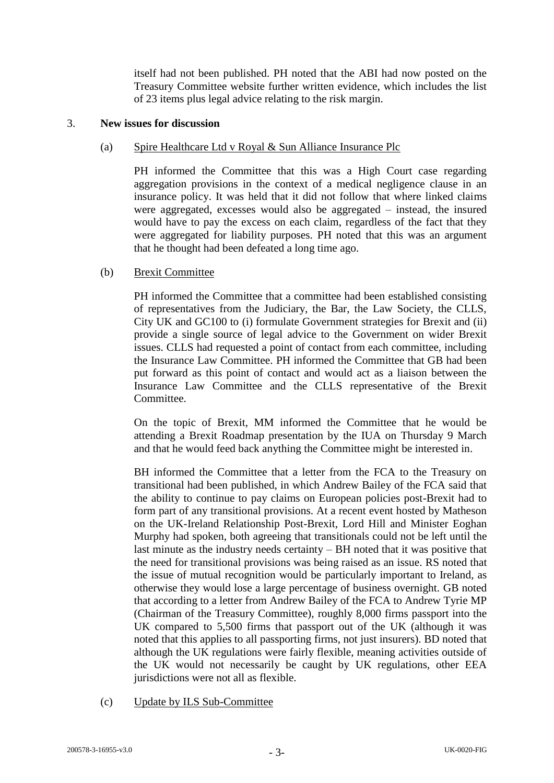itself had not been published. PH noted that the ABI had now posted on the Treasury Committee website further written evidence, which includes the list of 23 items plus legal advice relating to the risk margin.

### 3. **New issues for discussion**

### (a) Spire Healthcare Ltd v Royal & Sun Alliance Insurance Plc

PH informed the Committee that this was a High Court case regarding aggregation provisions in the context of a medical negligence clause in an insurance policy. It was held that it did not follow that where linked claims were aggregated, excesses would also be aggregated – instead, the insured would have to pay the excess on each claim, regardless of the fact that they were aggregated for liability purposes. PH noted that this was an argument that he thought had been defeated a long time ago.

#### (b) Brexit Committee

PH informed the Committee that a committee had been established consisting of representatives from the Judiciary, the Bar, the Law Society, the CLLS, City UK and GC100 to (i) formulate Government strategies for Brexit and (ii) provide a single source of legal advice to the Government on wider Brexit issues. CLLS had requested a point of contact from each committee, including the Insurance Law Committee. PH informed the Committee that GB had been put forward as this point of contact and would act as a liaison between the Insurance Law Committee and the CLLS representative of the Brexit Committee.

On the topic of Brexit, MM informed the Committee that he would be attending a Brexit Roadmap presentation by the IUA on Thursday 9 March and that he would feed back anything the Committee might be interested in.

BH informed the Committee that a letter from the FCA to the Treasury on transitional had been published, in which Andrew Bailey of the FCA said that the ability to continue to pay claims on European policies post-Brexit had to form part of any transitional provisions. At a recent event hosted by Matheson on the UK-Ireland Relationship Post-Brexit, Lord Hill and Minister Eoghan Murphy had spoken, both agreeing that transitionals could not be left until the last minute as the industry needs certainty – BH noted that it was positive that the need for transitional provisions was being raised as an issue. RS noted that the issue of mutual recognition would be particularly important to Ireland, as otherwise they would lose a large percentage of business overnight. GB noted that according to a letter from Andrew Bailey of the FCA to Andrew Tyrie MP (Chairman of the Treasury Committee), roughly 8,000 firms passport into the UK compared to 5,500 firms that passport out of the UK (although it was noted that this applies to all passporting firms, not just insurers). BD noted that although the UK regulations were fairly flexible, meaning activities outside of the UK would not necessarily be caught by UK regulations, other EEA jurisdictions were not all as flexible.

(c) Update by ILS Sub-Committee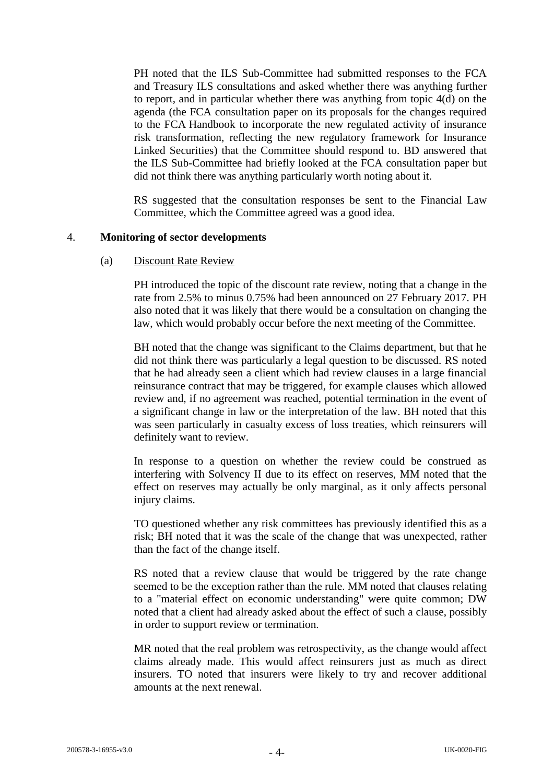PH noted that the ILS Sub-Committee had submitted responses to the FCA and Treasury ILS consultations and asked whether there was anything further to report, and in particular whether there was anything from topic 4(d) on the agenda (the FCA consultation paper on its proposals for the changes required to the FCA Handbook to incorporate the new regulated activity of insurance risk transformation, reflecting the new regulatory framework for Insurance Linked Securities) that the Committee should respond to. BD answered that the ILS Sub-Committee had briefly looked at the FCA consultation paper but did not think there was anything particularly worth noting about it.

RS suggested that the consultation responses be sent to the Financial Law Committee, which the Committee agreed was a good idea.

#### 4. **Monitoring of sector developments**

#### (a) Discount Rate Review

PH introduced the topic of the discount rate review, noting that a change in the rate from 2.5% to minus 0.75% had been announced on 27 February 2017. PH also noted that it was likely that there would be a consultation on changing the law, which would probably occur before the next meeting of the Committee.

BH noted that the change was significant to the Claims department, but that he did not think there was particularly a legal question to be discussed. RS noted that he had already seen a client which had review clauses in a large financial reinsurance contract that may be triggered, for example clauses which allowed review and, if no agreement was reached, potential termination in the event of a significant change in law or the interpretation of the law. BH noted that this was seen particularly in casualty excess of loss treaties, which reinsurers will definitely want to review.

In response to a question on whether the review could be construed as interfering with Solvency II due to its effect on reserves, MM noted that the effect on reserves may actually be only marginal, as it only affects personal injury claims.

TO questioned whether any risk committees has previously identified this as a risk; BH noted that it was the scale of the change that was unexpected, rather than the fact of the change itself.

RS noted that a review clause that would be triggered by the rate change seemed to be the exception rather than the rule. MM noted that clauses relating to a "material effect on economic understanding" were quite common; DW noted that a client had already asked about the effect of such a clause, possibly in order to support review or termination.

MR noted that the real problem was retrospectivity, as the change would affect claims already made. This would affect reinsurers just as much as direct insurers. TO noted that insurers were likely to try and recover additional amounts at the next renewal.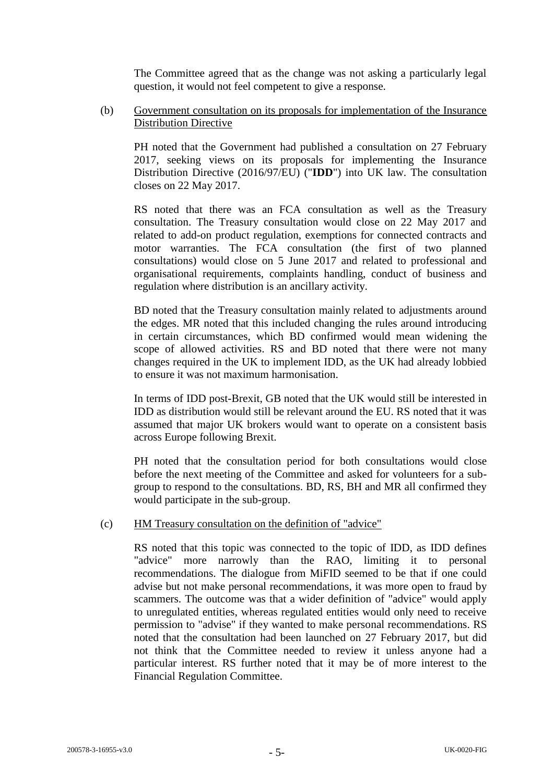The Committee agreed that as the change was not asking a particularly legal question, it would not feel competent to give a response.

(b) Government consultation on its proposals for implementation of the Insurance Distribution Directive

PH noted that the Government had published a consultation on 27 February 2017, seeking views on its proposals for implementing the Insurance Distribution Directive (2016/97/EU) ("**IDD**") into UK law. The consultation closes on 22 May 2017.

RS noted that there was an FCA consultation as well as the Treasury consultation. The Treasury consultation would close on 22 May 2017 and related to add-on product regulation, exemptions for connected contracts and motor warranties. The FCA consultation (the first of two planned consultations) would close on 5 June 2017 and related to professional and organisational requirements, complaints handling, conduct of business and regulation where distribution is an ancillary activity.

BD noted that the Treasury consultation mainly related to adjustments around the edges. MR noted that this included changing the rules around introducing in certain circumstances, which BD confirmed would mean widening the scope of allowed activities. RS and BD noted that there were not many changes required in the UK to implement IDD, as the UK had already lobbied to ensure it was not maximum harmonisation.

In terms of IDD post-Brexit, GB noted that the UK would still be interested in IDD as distribution would still be relevant around the EU. RS noted that it was assumed that major UK brokers would want to operate on a consistent basis across Europe following Brexit.

PH noted that the consultation period for both consultations would close before the next meeting of the Committee and asked for volunteers for a subgroup to respond to the consultations. BD, RS, BH and MR all confirmed they would participate in the sub-group.

## (c) HM Treasury consultation on the definition of "advice"

RS noted that this topic was connected to the topic of IDD, as IDD defines "advice" more narrowly than the RAO, limiting it to personal recommendations. The dialogue from MiFID seemed to be that if one could advise but not make personal recommendations, it was more open to fraud by scammers. The outcome was that a wider definition of "advice" would apply to unregulated entities, whereas regulated entities would only need to receive permission to "advise" if they wanted to make personal recommendations. RS noted that the consultation had been launched on 27 February 2017, but did not think that the Committee needed to review it unless anyone had a particular interest. RS further noted that it may be of more interest to the Financial Regulation Committee.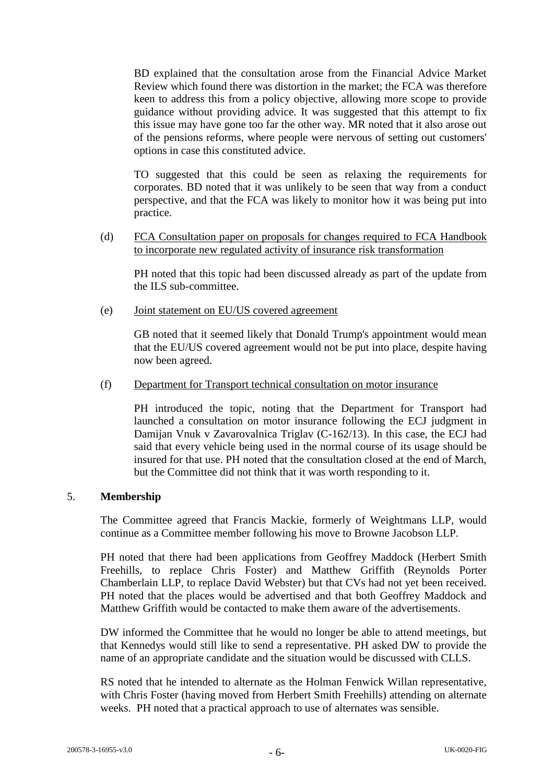BD explained that the consultation arose from the Financial Advice Market Review which found there was distortion in the market; the FCA was therefore keen to address this from a policy objective, allowing more scope to provide guidance without providing advice. It was suggested that this attempt to fix this issue may have gone too far the other way. MR noted that it also arose out of the pensions reforms, where people were nervous of setting out customers' options in case this constituted advice.

TO suggested that this could be seen as relaxing the requirements for corporates. BD noted that it was unlikely to be seen that way from a conduct perspective, and that the FCA was likely to monitor how it was being put into practice.

(d) FCA Consultation paper on proposals for changes required to FCA Handbook to incorporate new regulated activity of insurance risk transformation

PH noted that this topic had been discussed already as part of the update from the ILS sub-committee.

(e) Joint statement on EU/US covered agreement

GB noted that it seemed likely that Donald Trump's appointment would mean that the EU/US covered agreement would not be put into place, despite having now been agreed.

(f) Department for Transport technical consultation on motor insurance

PH introduced the topic, noting that the Department for Transport had launched a consultation on motor insurance following the ECJ judgment in Damijan Vnuk v Zavarovalnica Triglav (C-162/13). In this case, the ECJ had said that every vehicle being used in the normal course of its usage should be insured for that use. PH noted that the consultation closed at the end of March, but the Committee did not think that it was worth responding to it.

## 5. **Membership**

The Committee agreed that Francis Mackie, formerly of Weightmans LLP, would continue as a Committee member following his move to Browne Jacobson LLP.

PH noted that there had been applications from Geoffrey Maddock (Herbert Smith Freehills, to replace Chris Foster) and Matthew Griffith (Reynolds Porter Chamberlain LLP, to replace David Webster) but that CVs had not yet been received. PH noted that the places would be advertised and that both Geoffrey Maddock and Matthew Griffith would be contacted to make them aware of the advertisements.

DW informed the Committee that he would no longer be able to attend meetings, but that Kennedys would still like to send a representative. PH asked DW to provide the name of an appropriate candidate and the situation would be discussed with CLLS.

RS noted that he intended to alternate as the Holman Fenwick Willan representative, with Chris Foster (having moved from Herbert Smith Freehills) attending on alternate weeks. PH noted that a practical approach to use of alternates was sensible.